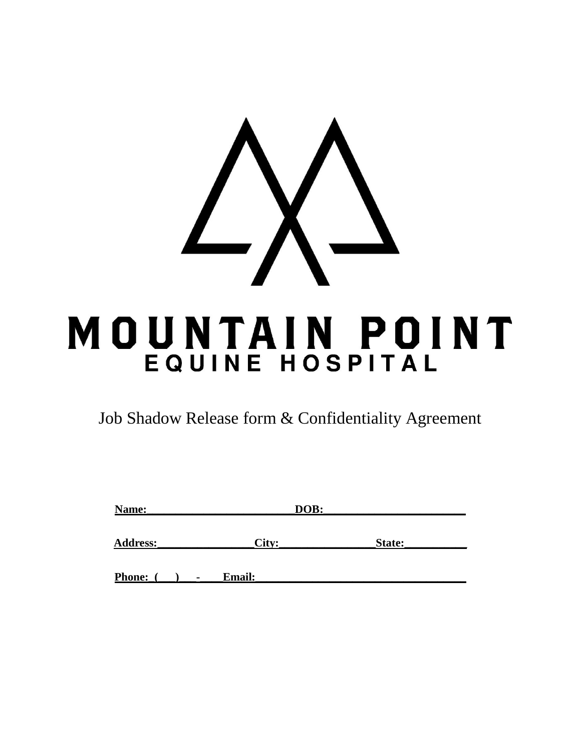

Job Shadow Release form & Confidentiality Agreement

| Name:         | DOB:                            |        |  |
|---------------|---------------------------------|--------|--|
| Address:      | City:                           | State: |  |
| <b>Phone:</b> | <b>Email:</b><br>$\blacksquare$ |        |  |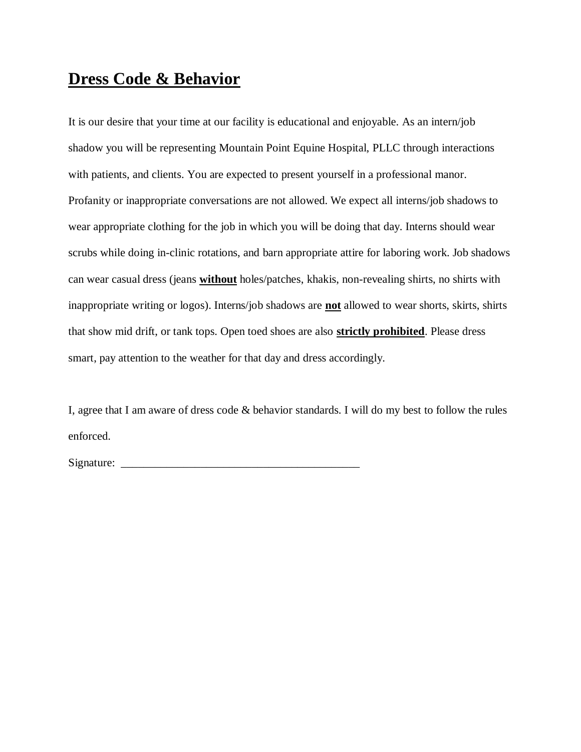## **Dress Code & Behavior**

It is our desire that your time at our facility is educational and enjoyable. As an intern/job shadow you will be representing Mountain Point Equine Hospital, PLLC through interactions with patients, and clients. You are expected to present yourself in a professional manor. Profanity or inappropriate conversations are not allowed. We expect all interns/job shadows to wear appropriate clothing for the job in which you will be doing that day. Interns should wear scrubs while doing in-clinic rotations, and barn appropriate attire for laboring work. Job shadows can wear casual dress (jeans **without** holes/patches, khakis, non-revealing shirts, no shirts with inappropriate writing or logos). Interns/job shadows are **not** allowed to wear shorts, skirts, shirts that show mid drift, or tank tops. Open toed shoes are also **strictly prohibited**. Please dress smart, pay attention to the weather for that day and dress accordingly.

I, agree that I am aware of dress code & behavior standards. I will do my best to follow the rules enforced.

Signature: \_\_\_\_\_\_\_\_\_\_\_\_\_\_\_\_\_\_\_\_\_\_\_\_\_\_\_\_\_\_\_\_\_\_\_\_\_\_\_\_\_\_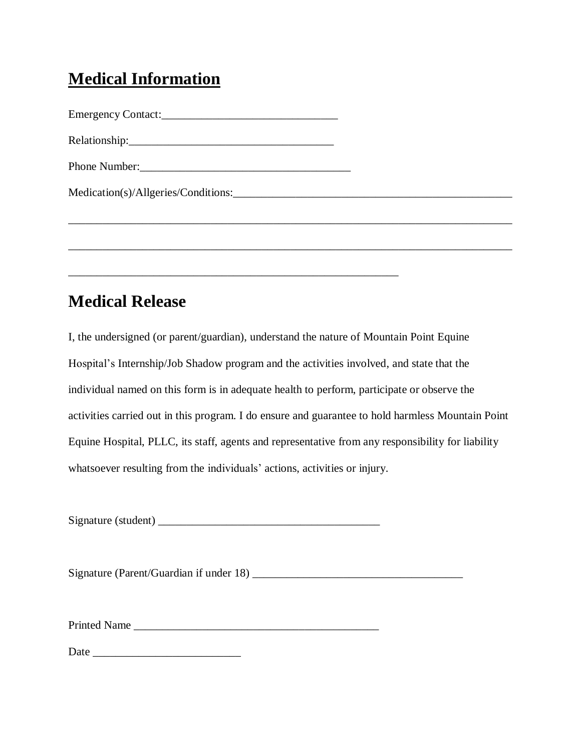## **Medical Information**

Emergency Contact:\_\_\_\_\_\_\_\_\_\_\_\_\_\_\_\_\_\_\_\_\_\_\_\_\_\_\_\_\_\_\_ Relationship:\_\_\_\_\_\_\_\_\_\_\_\_\_\_\_\_\_\_\_\_\_\_\_\_\_\_\_\_\_\_\_\_\_\_\_\_ Phone Number:\_\_\_\_\_\_\_\_\_\_\_\_\_\_\_\_\_\_\_\_\_\_\_\_\_\_\_\_\_\_\_\_\_\_\_\_\_

\_\_\_\_\_\_\_\_\_\_\_\_\_\_\_\_\_\_\_\_\_\_\_\_\_\_\_\_\_\_\_\_\_\_\_\_\_\_\_\_\_\_\_\_\_\_\_\_\_\_\_\_\_\_\_\_\_\_

## **Medical Release**

I, the undersigned (or parent/guardian), understand the nature of Mountain Point Equine Hospital's Internship/Job Shadow program and the activities involved, and state that the individual named on this form is in adequate health to perform, participate or observe the activities carried out in this program. I do ensure and guarantee to hold harmless Mountain Point Equine Hospital, PLLC, its staff, agents and representative from any responsibility for liability whatsoever resulting from the individuals' actions, activities or injury.

Medication(s)/Allgeries/Conditions:\_\_\_\_\_\_\_\_\_\_\_\_\_\_\_\_\_\_\_\_\_\_\_\_\_\_\_\_\_\_\_\_\_\_\_\_\_\_\_\_\_\_\_\_\_\_\_\_\_

\_\_\_\_\_\_\_\_\_\_\_\_\_\_\_\_\_\_\_\_\_\_\_\_\_\_\_\_\_\_\_\_\_\_\_\_\_\_\_\_\_\_\_\_\_\_\_\_\_\_\_\_\_\_\_\_\_\_\_\_\_\_\_\_\_\_\_\_\_\_\_\_\_\_\_\_\_\_

\_\_\_\_\_\_\_\_\_\_\_\_\_\_\_\_\_\_\_\_\_\_\_\_\_\_\_\_\_\_\_\_\_\_\_\_\_\_\_\_\_\_\_\_\_\_\_\_\_\_\_\_\_\_\_\_\_\_\_\_\_\_\_\_\_\_\_\_\_\_\_\_\_\_\_\_\_\_

Signature (student) \_\_\_\_\_\_\_\_\_\_\_\_\_\_\_\_\_\_\_\_\_\_\_\_\_\_\_\_\_\_\_\_\_\_\_\_\_\_\_

Signature (Parent/Guardian if under 18) \_\_\_\_\_\_\_\_\_\_\_\_\_\_\_\_\_\_\_\_\_\_\_\_\_\_\_\_\_\_\_\_\_\_\_\_\_

Printed Name \_\_\_\_\_\_\_\_\_\_\_\_\_\_\_\_\_\_\_\_\_\_\_\_\_\_\_\_\_\_\_\_\_\_\_\_\_\_\_\_\_\_\_

Date \_\_\_\_\_\_\_\_\_\_\_\_\_\_\_\_\_\_\_\_\_\_\_\_\_\_